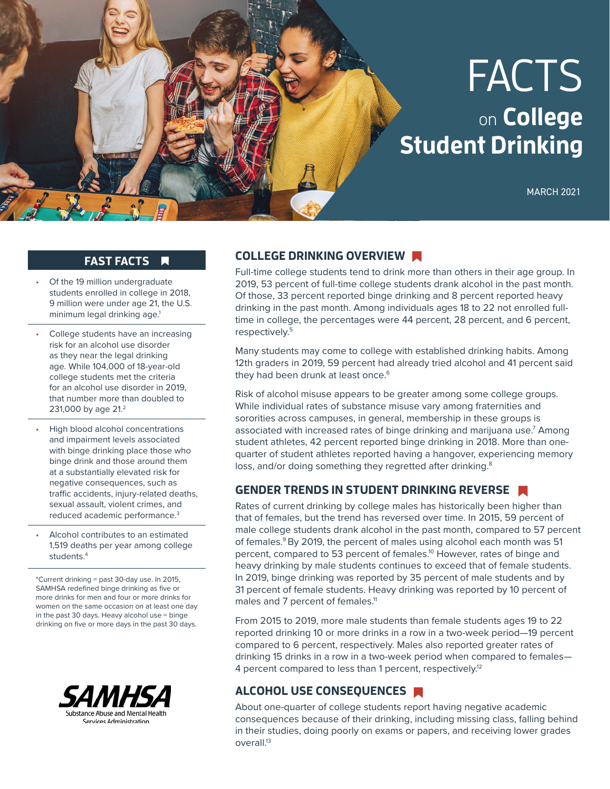# FACTS on **College Student Drinking**

MARCH 2021

### **FAST FACTS**

 $\overline{\mathbf{A}}$ 

- Of the 19 million undergraduate students enrolled in college in 2018, 9 million were under age 21, the U.S. minimum legal drinking age.<sup>1</sup>
- College students have an increasing risk for an alcohol use disorder as they near the legal drinking age. While 104,000 of 18-year-old college students met the criteria for an alcohol use disorder in 2019, that number more than doubled to 231,000 by age 21.<sup>2</sup>
- High blood alcohol concentrations and impairment levels associated with binge drinking place those who binge drink and those around them at a substantially elevated risk for negative consequences, such as traffic accidents, injury-related deaths, sexual assault, violent crimes, and reduced academic performance.3
- Alcohol contributes to an estimated 1,519 deaths per year among college students.4

\*Current drinking = past 30-day use. In 2015, SAMHSA redefined binge drinking as five or more drinks for men and four or more drinks for women on the same occasion on at least one day in the past 30 days. Heavy alcohol use = binge drinking on five or more days in the past 30 days.



#### **COLLEGE DRINKING OVERVIEW**

Full-time college students tend to drink more than others in their age group. In 2019, 53 percent of full-time college students drank alcohol in the past month. Of those, 33 percent reported binge drinking and 8 percent reported heavy drinking in the past month. Among individuals ages 18 to 22 not enrolled fulltime in college, the percentages were 44 percent, 28 percent, and 6 percent, respectively.5

Many students may come to college with established drinking habits. Among 12th graders in 2019, 59 percent had already tried alcohol and 41 percent said they had been drunk at least once.<sup>6</sup>

Risk of alcohol misuse appears to be greater among some college groups. While individual rates of substance misuse vary among fraternities and sororities across campuses, in general, membership in these groups is associated with increased rates of binge drinking and marijuana use.7 Among student athletes, 42 percent reported binge drinking in 2018. More than onequarter of student athletes reported having a hangover, experiencing memory loss, and/or doing something they regretted after drinking.<sup>8</sup>

#### **GENDER TRENDS IN STUDENT DRINKING REVERSE**

Rates of current drinking by college males has historically been higher than that of females, but the trend has reversed over time. In 2015, 59 percent of male college students drank alcohol in the past month, compared to 57 percent of females.<sup>9</sup> By 2019, the percent of males using alcohol each month was 51 percent, compared to 53 percent of females.<sup>10</sup> However, rates of binge and heavy drinking by male students continues to exceed that of female students. In 2019, binge drinking was reported by 35 percent of male students and by 31 percent of female students. Heavy drinking was reported by 10 percent of males and 7 percent of females.<sup>11</sup>

From 2015 to 2019, more male students than female students ages 19 to 22 reported drinking 10 or more drinks in a row in a two-week period—19 percent compared to 6 percent, respectively. Males also reported greater rates of drinking 15 drinks in a row in a two-week period when compared to females— 4 percent compared to less than 1 percent, respectively.<sup>12</sup>

## **ALCOHOL USE CONSEQUENCES**

About one-quarter of college students report having negative academic consequences because of their drinking, including missing class, falling behind in their studies, doing poorly on exams or papers, and receiving lower grades overall.<sup>13</sup>